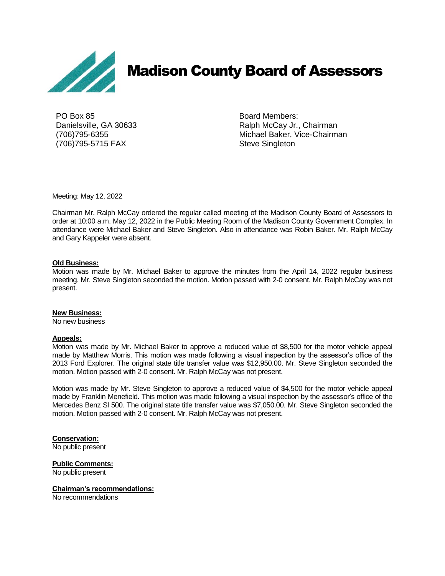

# Madison County Board of Assessors

PO Box 85 Board Members: (706)795-5715 FAX Steve Singleton

Danielsville, GA 30633 **Ralph McCay Jr., Chairman** (706)795-6355 Michael Baker, Vice-Chairman

Meeting: May 12, 2022

Chairman Mr. Ralph McCay ordered the regular called meeting of the Madison County Board of Assessors to order at 10:00 a.m. May 12, 2022 in the Public Meeting Room of the Madison County Government Complex. In attendance were Michael Baker and Steve Singleton. Also in attendance was Robin Baker. Mr. Ralph McCay and Gary Kappeler were absent.

#### **Old Business:**

Motion was made by Mr. Michael Baker to approve the minutes from the April 14, 2022 regular business meeting. Mr. Steve Singleton seconded the motion. Motion passed with 2-0 consent. Mr. Ralph McCay was not present.

#### **New Business:**

No new business

#### **Appeals:**

Motion was made by Mr. Michael Baker to approve a reduced value of \$8,500 for the motor vehicle appeal made by Matthew Morris. This motion was made following a visual inspection by the assessor's office of the 2013 Ford Explorer. The original state title transfer value was \$12,950.00. Mr. Steve Singleton seconded the motion. Motion passed with 2-0 consent. Mr. Ralph McCay was not present.

Motion was made by Mr. Steve Singleton to approve a reduced value of \$4,500 for the motor vehicle appeal made by Franklin Menefield. This motion was made following a visual inspection by the assessor's office of the Mercedes Benz Sl 500. The original state title transfer value was \$7,050.00. Mr. Steve Singleton seconded the motion. Motion passed with 2-0 consent. Mr. Ralph McCay was not present.

**Conservation:**

No public present

**Public Comments:** No public present

#### **Chairman's recommendations:**

No recommendations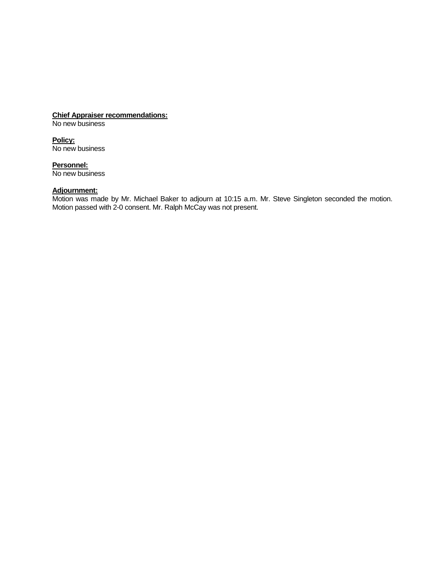## **Chief Appraiser recommendations:**

No new business

**Policy:** No new business

**Personnel:** No new business

#### **Adjournment:**

Motion was made by Mr. Michael Baker to adjourn at 10:15 a.m. Mr. Steve Singleton seconded the motion. Motion passed with 2-0 consent. Mr. Ralph McCay was not present.